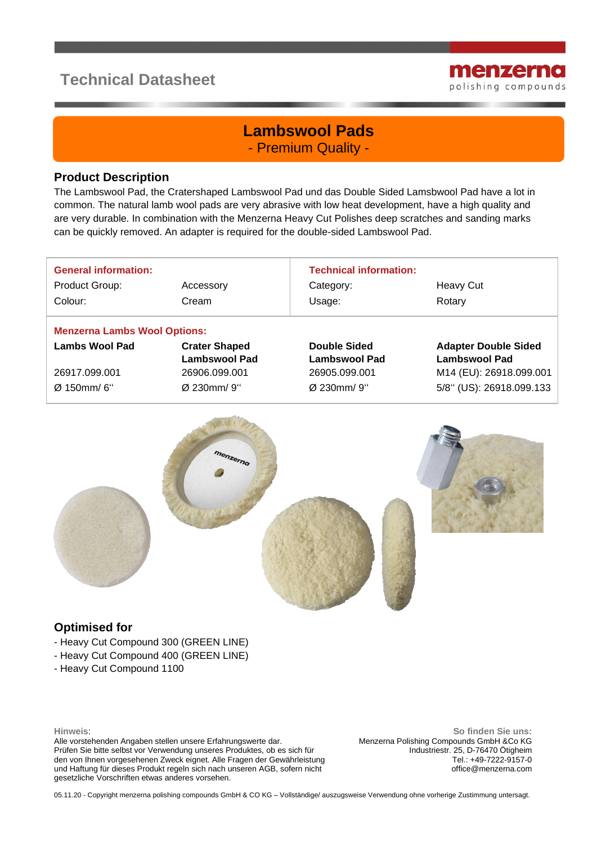# **Technical Datasheet**



## **Lambswool Pads** - Premium Quality -

#### **Product Description**

The Lambswool Pad, the Cratershaped Lambswool Pad und das Double Sided Lamsbwool Pad have a lot in common. The natural lamb wool pads are very abrasive with low heat development, have a high quality and are very durable. In combination with the Menzerna Heavy Cut Polishes deep scratches and sanding marks can be quickly removed. An adapter is required for the double-sided Lambswool Pad.

| <b>General information:</b>         |                      | <b>Technical information:</b> |                             |  |
|-------------------------------------|----------------------|-------------------------------|-----------------------------|--|
| Product Group:                      | Accessory            | Category:                     | Heavy Cut                   |  |
| Colour:                             | Cream                | Usage:                        | Rotary                      |  |
| <b>Menzerna Lambs Wool Options:</b> |                      |                               |                             |  |
| <b>Lambs Wool Pad</b>               | <b>Crater Shaped</b> | <b>Double Sided</b>           | <b>Adapter Double Sided</b> |  |
|                                     | <b>Lambswool Pad</b> | Lambswool Pad                 | <b>Lambswool Pad</b>        |  |
| 26917.099.001                       | 26906.099.001        | 26905.099.001                 | M14 (EU): 26918.099.001     |  |
| Ø 150mm/6"                          | Ø 230mm/9"           | Ø 230mm/9"                    | 5/8" (US): 26918.099.133    |  |



#### **Optimised for**

- Heavy Cut Compound 300 (GREEN LINE)
- Heavy Cut Compound 400 (GREEN LINE)
- Heavy Cut Compound 1100

**Hinweis**:

Alle vorstehenden Angaben stellen unsere Erfahrungswerte dar. Prüfen Sie bitte selbst vor Verwendung unseres Produktes, ob es sich für den von Ihnen vorgesehenen Zweck eignet. Alle Fragen der Gewährleistung und Haftung für dieses Produkt regeln sich nach unseren AGB, sofern nicht gesetzliche Vorschriften etwas anderes vorsehen.

**So finden Sie uns:** Menzerna Polishing Compounds GmbH &Co KG Industriestr. 25, D-76470 Ötigheim Tel.: +49-7222-9157-0 office@menzerna.com

05.11.20 - Copyright menzerna polishing compounds GmbH & CO KG – Vollständige/ auszugsweise Verwendung ohne vorherige Zustimmung untersagt.